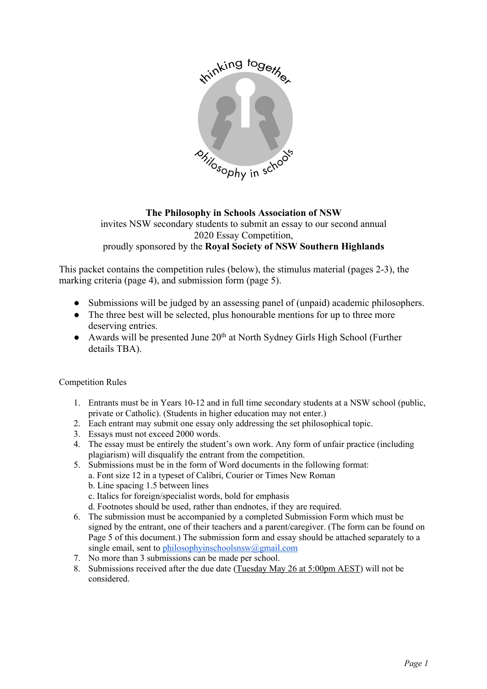

**The Philosophy in Schools Association of NSW**  invites NSW secondary students to submit an essay to our second annual 2020 Essay Competition, proudly sponsored by the **Royal Society of NSW Southern Highlands**

This packet contains the competition rules (below), the stimulus material (pages 2-3), the marking criteria (page 4), and submission form (page 5).

- Submissions will be judged by an assessing panel of (unpaid) academic philosophers.
- The three best will be selected, plus honourable mentions for up to three more deserving entries.
- Awards will be presented June  $20<sup>th</sup>$  at North Sydney Girls High School (Further details TBA).

Competition Rules

- 1. Entrants must be in Years 10-12 and in full time secondary students at a NSW school (public, private or Catholic). (Students in higher education may not enter.)
- 2. Each entrant may submit one essay only addressing the set philosophical topic.
- 3. Essays must not exceed 2000 words.
- 4. The essay must be entirely the student's own work. Any form of unfair practice (including plagiarism) will disqualify the entrant from the competition.
- 5. Submissions must be in the form of Word documents in the following format: a. Font size 12 in a typeset of Calibri, Courier or Times New Roman b. Line spacing 1.5 between lines c. Italics for foreign/specialist words, bold for emphasis d. Footnotes should be used, rather than endnotes, if they are required.
- 6. The submission must be accompanied by a completed Submission Form which must be signed by the entrant, one of their teachers and a parent/caregiver. (The form can be found on Page 5 of this document.) The submission form and essay should be attached separately to a single email, sent to philosophyinschoolsnsw@gmail.com
- 7. No more than 3 submissions can be made per school.
- 8. Submissions received after the due date (Tuesday May 26 at 5:00pm AEST) will not be considered.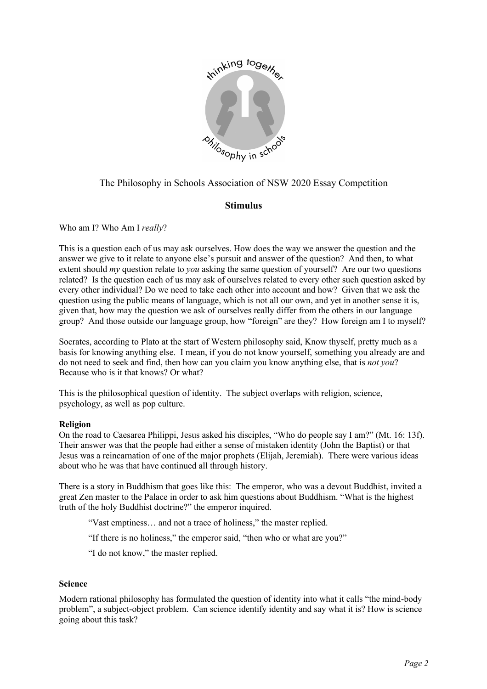

# The Philosophy in Schools Association of NSW 2020 Essay Competition

## **Stimulus**

Who am I? Who Am I *really*?

This is a question each of us may ask ourselves. How does the way we answer the question and the answer we give to it relate to anyone else's pursuit and answer of the question? And then, to what extent should *my* question relate to *you* asking the same question of yourself? Are our two questions related? Is the question each of us may ask of ourselves related to every other such question asked by every other individual? Do we need to take each other into account and how? Given that we ask the question using the public means of language, which is not all our own, and yet in another sense it is, given that, how may the question we ask of ourselves really differ from the others in our language group? And those outside our language group, how "foreign" are they? How foreign am I to myself?

Socrates, according to Plato at the start of Western philosophy said, Know thyself, pretty much as a basis for knowing anything else. I mean, if you do not know yourself, something you already are and do not need to seek and find, then how can you claim you know anything else, that is *not you*? Because who is it that knows? Or what?

This is the philosophical question of identity. The subject overlaps with religion, science, psychology, as well as pop culture.

#### **Religion**

On the road to Caesarea Philippi, Jesus asked his disciples, "Who do people say I am?" (Mt. 16: 13f). Their answer was that the people had either a sense of mistaken identity (John the Baptist) or that Jesus was a reincarnation of one of the major prophets (Elijah, Jeremiah). There were various ideas about who he was that have continued all through history.

There is a story in Buddhism that goes like this: The emperor, who was a devout Buddhist, invited a great Zen master to the Palace in order to ask him questions about Buddhism. "What is the highest truth of the holy Buddhist doctrine?" the emperor inquired.

"Vast emptiness… and not a trace of holiness," the master replied.

"If there is no holiness," the emperor said, "then who or what are you?"

"I do not know," the master replied.

#### **Science**

Modern rational philosophy has formulated the question of identity into what it calls "the mind-body problem", a subject-object problem. Can science identify identity and say what it is? How is science going about this task?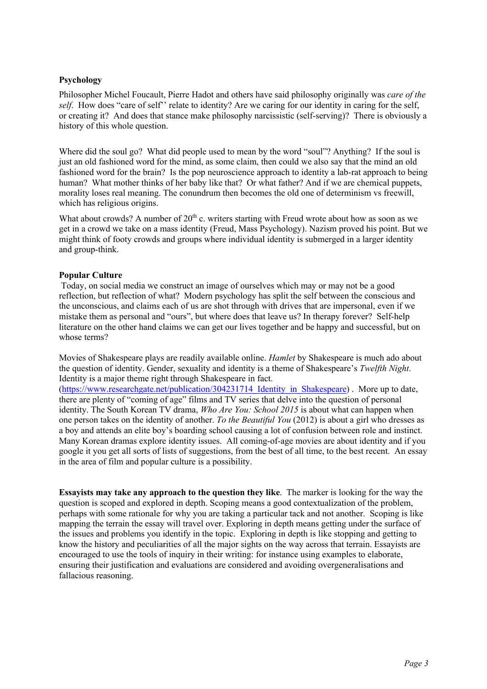## **Psychology**

Philosopher Michel Foucault, Pierre Hadot and others have said philosophy originally was *care of the self.* How does "care of self" relate to identity? Are we caring for our identity in caring for the self. or creating it? And does that stance make philosophy narcissistic (self-serving)? There is obviously a history of this whole question.

Where did the soul go? What did people used to mean by the word "soul"? Anything? If the soul is just an old fashioned word for the mind, as some claim, then could we also say that the mind an old fashioned word for the brain? Is the pop neuroscience approach to identity a lab-rat approach to being human? What mother thinks of her baby like that? Or what father? And if we are chemical puppets, morality loses real meaning. The conundrum then becomes the old one of determinism vs freewill, which has religious origins.

What about crowds? A number of  $20<sup>th</sup>$  c. writers starting with Freud wrote about how as soon as we get in a crowd we take on a mass identity (Freud, Mass Psychology). Nazism proved his point. But we might think of footy crowds and groups where individual identity is submerged in a larger identity and group-think.

## **Popular Culture**

Today, on social media we construct an image of ourselves which may or may not be a good reflection, but reflection of what? Modern psychology has split the self between the conscious and the unconscious, and claims each of us are shot through with drives that are impersonal, even if we mistake them as personal and "ours", but where does that leave us? In therapy forever? Self-help literature on the other hand claims we can get our lives together and be happy and successful, but on whose terms?

Movies of Shakespeare plays are readily available online. *Hamlet* by Shakespeare is much ado about the question of identity. Gender, sexuality and identity is a theme of Shakespeare's *Twelfth Night*. Identity is a major theme right through Shakespeare in fact.

(https://www.researchgate.net/publication/304231714 Identity in Shakespeare) . More up to date, there are plenty of "coming of age" films and TV series that delve into the question of personal identity. The South Korean TV drama, *Who Are You: School 2015* is about what can happen when one person takes on the identity of another. *To the Beautiful You* (2012) is about a girl who dresses as a boy and attends an elite boy's boarding school causing a lot of confusion between role and instinct. Many Korean dramas explore identity issues. All coming-of-age movies are about identity and if you google it you get all sorts of lists of suggestions, from the best of all time, to the best recent. An essay in the area of film and popular culture is a possibility.

**Essayists may take any approach to the question they like**. The marker is looking for the way the question is scoped and explored in depth. Scoping means a good contextualization of the problem, perhaps with some rationale for why you are taking a particular tack and not another. Scoping is like mapping the terrain the essay will travel over. Exploring in depth means getting under the surface of the issues and problems you identify in the topic. Exploring in depth is like stopping and getting to know the history and peculiarities of all the major sights on the way across that terrain. Essayists are encouraged to use the tools of inquiry in their writing: for instance using examples to elaborate, ensuring their justification and evaluations are considered and avoiding overgeneralisations and fallacious reasoning.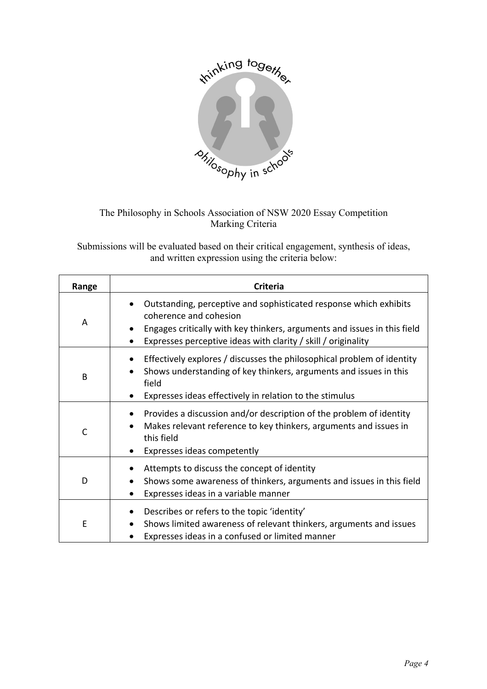

# The Philosophy in Schools Association of NSW 2020 Essay Competition Marking Criteria

Submissions will be evaluated based on their critical engagement, synthesis of ideas, and written expression using the criteria below:

| Range | Criteria                                                                                                                                                                                                                                 |
|-------|------------------------------------------------------------------------------------------------------------------------------------------------------------------------------------------------------------------------------------------|
| A     | Outstanding, perceptive and sophisticated response which exhibits<br>coherence and cohesion<br>Engages critically with key thinkers, arguments and issues in this field<br>Expresses perceptive ideas with clarity / skill / originality |
| B     | Effectively explores / discusses the philosophical problem of identity<br>Shows understanding of key thinkers, arguments and issues in this<br>field<br>Expresses ideas effectively in relation to the stimulus                          |
| C     | Provides a discussion and/or description of the problem of identity<br>Makes relevant reference to key thinkers, arguments and issues in<br>this field<br>Expresses ideas competently                                                    |
| D     | Attempts to discuss the concept of identity<br>Shows some awareness of thinkers, arguments and issues in this field<br>Expresses ideas in a variable manner                                                                              |
| E     | Describes or refers to the topic 'identity'<br>Shows limited awareness of relevant thinkers, arguments and issues<br>Expresses ideas in a confused or limited manner                                                                     |